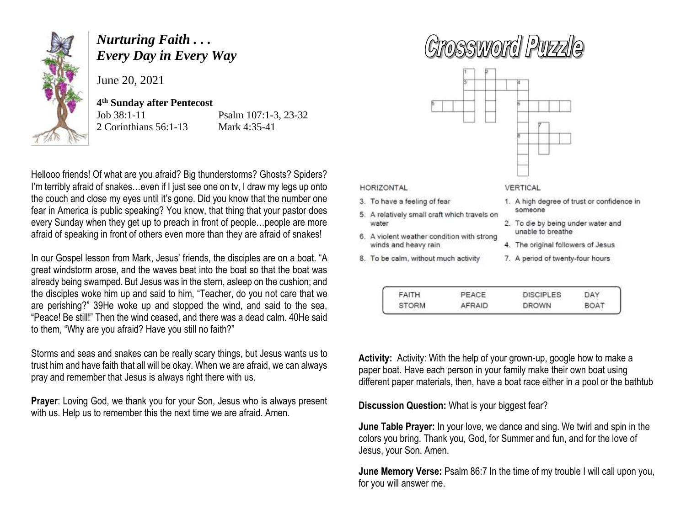

## *Nurturing Faith . . . Every Day in Every Way*

June 20, 2021

## **4 th Sunday after Pentecost**

2 Corinthians 56:1-13 Mark 4:35-41

Job 38:1-11 Psalm 107:1-3, 23-32

Hellooo friends! Of what are you afraid? Big thunderstorms? Ghosts? Spiders? I'm terribly afraid of snakes...even if I just see one on tv, I draw my legs up onto the couch and close my eyes until it's gone. Did you know that the number one fear in America is public speaking? You know, that thing that your pastor does every Sunday when they get up to preach in front of people…people are more afraid of speaking in front of others even more than they are afraid of snakes!

In our Gospel lesson from Mark, Jesus' friends, the disciples are on a boat. "A great windstorm arose, and the waves beat into the boat so that the boat was already being swamped. But Jesus was in the stern, asleep on the cushion; and the disciples woke him up and said to him, "Teacher, do you not care that we are perishing?" 39He woke up and stopped the wind, and said to the sea, "Peace! Be still!" Then the wind ceased, and there was a dead calm. 40He said to them, "Why are you afraid? Have you still no faith?"

Storms and seas and snakes can be really scary things, but Jesus wants us to trust him and have faith that all will be okay. When we are afraid, we can always pray and remember that Jesus is always right there with us.

**Prayer**: Loving God, we thank you for your Son, Jesus who is always present with us. Help us to remember this the next time we are afraid. Amen.

## Grossword Purzzl



HORIZONTAL

- 3. To have a feeling of fear
- 5. A relatively small craft which travels on water
- 6. A violent weather condition with strong winds and heavy rain
- 8. To be calm, without much activity

## VERTICAL

- 1. A high degree of trust or confidence in someone
- 2. To die by being under water and unable to breathe
- 4. The original followers of Jesus
- 7. A period of twenty-four hours

| FAITH        | PEACE  | <b>DISCIPLES</b> | DAY  |
|--------------|--------|------------------|------|
| <b>STORM</b> | AFRAID | <b>DROWN</b>     | BOAT |

**Activity:** Activity: With the help of your grown-up, google how to make a paper boat. Have each person in your family make their own boat using different paper materials, then, have a boat race either in a pool or the bathtub

**Discussion Question:** What is your biggest fear?

**June Table Prayer:** In your love, we dance and sing. We twirl and spin in the colors you bring. Thank you, God, for Summer and fun, and for the love of Jesus, your Son. Amen.

**June Memory Verse:** Psalm 86:7 In the time of my trouble I will call upon you, for you will answer me.